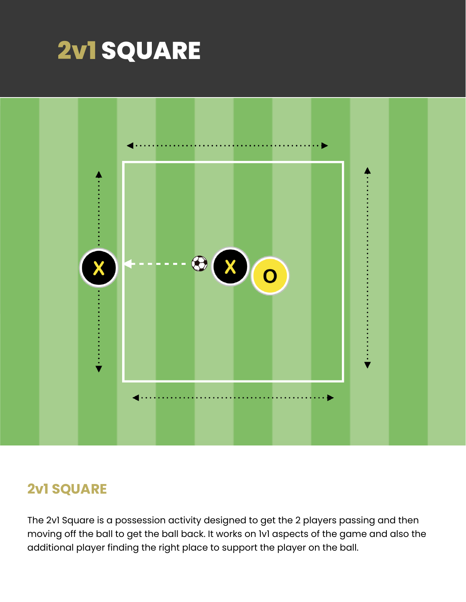



## **2v1 SQUARE**

The 2v1 Square is a possession activity designed to get the 2 players passing and then moving off the ball to get the ball back. It works on 1v1 aspects of the game and also the additional player finding the right place to support the player on the ball.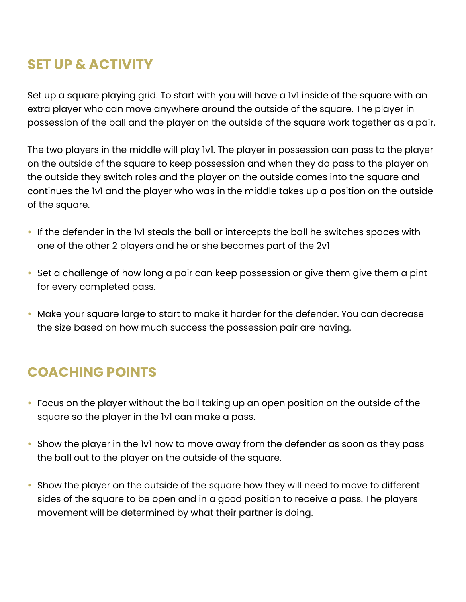## **SET UP & ACTIVITY**

Set up a square playing grid. To start with you will have a 1v1 inside of the square with an extra player who can move anywhere around the outside of the square. The player in possession of the ball and the player on the outside of the square work together as a pair.

The two players in the middle will play 1v1. The player in possession can pass to the player on the outside of the square to keep possession and when they do pass to the player on the outside they switch roles and the player on the outside comes into the square and continues the 1v1 and the player who was in the middle takes up a position on the outside of the square.

- If the defender in the 1v1 steals the ball or intercepts the ball he switches spaces with one of the other 2 players and he or she becomes part of the 2v1
- Set a challenge of how long a pair can keep possession or give them give them a pint for every completed pass.
- Make your square large to start to make it harder for the defender. You can decrease the size based on how much success the possession pair are having.

# **COACHING POINTS**

- Focus on the player without the ball taking up an open position on the outside of the square so the player in the 1v1 can make a pass.
- Show the player in the 1v1 how to move away from the defender as soon as they pass the ball out to the player on the outside of the square.
- Show the player on the outside of the square how they will need to move to different sides of the square to be open and in a good position to receive a pass. The players movement will be determined by what their partner is doing.